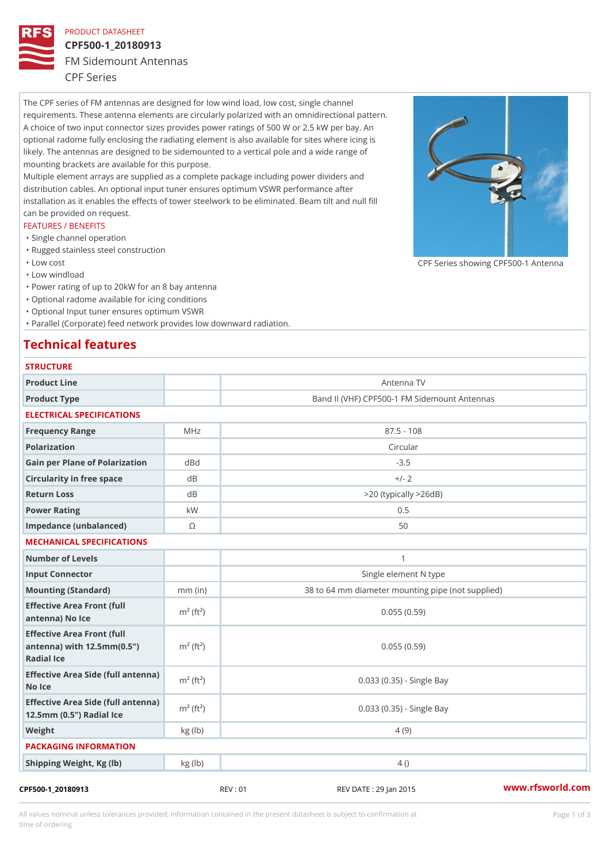### PRODUCT DATASHEET

# CPF500-1\_20180913 FM Sidemount Antennas CPF Series

The CPF series of FM antennas are designed for low wind load, low cost, single channel requirements. These antenna elements are circularly polarized with an omnidirectional pattern. A choice of two input connector sizes provides power ratings of 500 W or 2.5 kW per bay. An optional radome fully enclosing the radiating element is also available for sites where icing is likely. The antennas are designed to be sidemounted to a vertical pole and a wide range of mounting brackets are available for this purpose. Multiple element arrays are supplied as a complete package including power dividers and distribution cables. An optional input tuner ensures optimum VSWR performance after

installation as it enables the effects of tower steelwork to be eliminated. Beam tilt and null fill can be provided on request.

#### FEATURES / BENEFITS

- "Single channel operation
- "Rugged stainless steel construction
- "Low cost

"Low windload

"Power rating of up to 20kW for an 8 bay antenna

- "Optional radome available for icing conditions
- "Optional Input tuner ensures optimum VSWR

"Parallel (Corporate) feed network provides low downward radiation.

## Technical features

| <b>STRUCTURE</b>                                                                                |                       |                                                   |
|-------------------------------------------------------------------------------------------------|-----------------------|---------------------------------------------------|
| Product Line                                                                                    |                       | Antenna TV                                        |
| Product Type                                                                                    |                       | Band II (VHF) CPF500-1 FM Sidemount Antennas      |
| ELECTRICAL SPECIFICATIONS                                                                       |                       |                                                   |
| Frequency Range                                                                                 | MHz                   | $87.5 - 108$                                      |
| Polarization                                                                                    |                       | Circular                                          |
| Gain per Plane of PolarizatddBnd                                                                |                       | $-3.5$                                            |
| Circularity in free space                                                                       | d B                   | $+/- 2$                                           |
| Return Loss                                                                                     | d B                   | $> 20$ (typically $> 26dB$ )                      |
| Power Rating                                                                                    | k W                   | 0.5                                               |
| Impedance (unbalanced)                                                                          | $\odot$               | 50                                                |
| MECHANICAL SPECIFICATIONS                                                                       |                       |                                                   |
| Number of Levels                                                                                |                       | $\mathbf{1}$                                      |
| Input Connector                                                                                 |                       | Single element N type                             |
| Mounting (Standard)                                                                             | $mm$ (in)             | 38 to 64 mm diameter mounting pipe (not supplied) |
| Effective Area Front (full<br>antenna) No Ice                                                   | $m2$ (ft <sup>2</sup> | 0.055(0.59)                                       |
| Effective Area Front (full<br>antenna) with 12.5mm (0.5" $m^2$ (ft <sup>2</sup> )<br>Radial Ice |                       | 0.055(0.59)                                       |
| Effective Area Side (full antenna)<br>No Ice                                                    |                       | 0.033 (0.35) - Single Bay                         |
| Effective Area Side (full antenna)<br>$m^2$ (ft <sup>2</sup> )<br>12.5mm (0.5") Radial Ice      |                       | 0.033 (0.35) - Single Bay                         |
| Weight                                                                                          | kg(lb)                | 4 (9)                                             |
| PACKAGING INFORMATION                                                                           |                       |                                                   |
| Shipping Weight, Kg (Ib)                                                                        | kg (lb)               | 4()                                               |

All values nominal unless tolerances provided; information contained in the present datasheet is subject to Pcapgeign mation time of ordering

CPF Series showing CPF500-1 And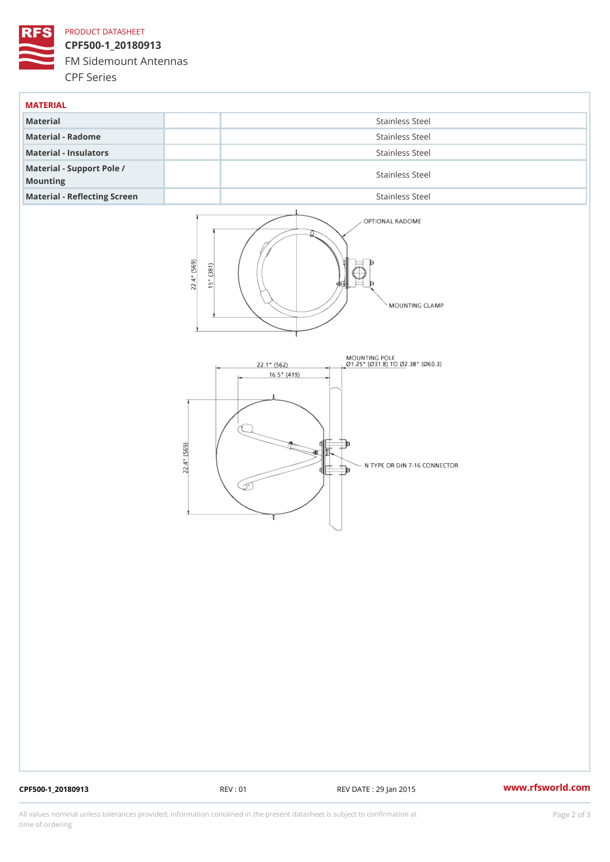## PRODUCT DATASHEET

CPF500-1\_20180913 FM Sidemount Antennas CPF Series

| MATERIAL                              |                 |
|---------------------------------------|-----------------|
| Material                              | Stainless Steel |
| Material - Radome                     | Stainless Steel |
| Material - Insulators                 | Stainless Steel |
| Material - Support Pole /<br>Mounting | Stainless Steel |
| Material - Reflecting Screen          | Stainless Steel |

CPF500-1\_20180913 REV : 01 REV DATE : 29 Jan 2015 [www.](https://www.rfsworld.com)rfsworld.com